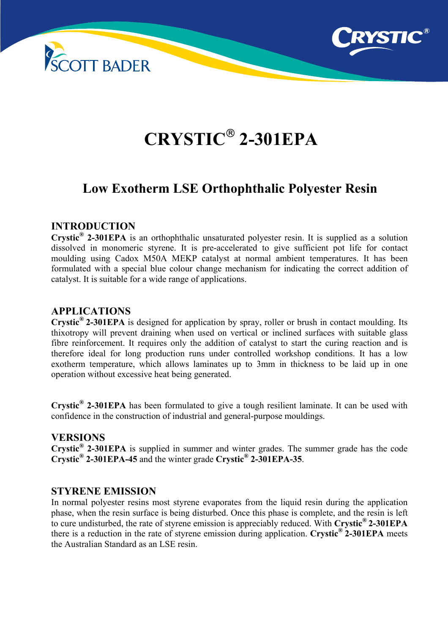



# **CRYSTIC 2-301EPA**

# **Low Exotherm LSE Orthophthalic Polyester Resin**

# **INTRODUCTION**

**Crystic® 2-301EPA** is an orthophthalic unsaturated polyester resin. It is supplied as a solution dissolved in monomeric styrene. It is pre-accelerated to give sufficient pot life for contact moulding using Cadox M50A MEKP catalyst at normal ambient temperatures. It has been formulated with a special blue colour change mechanism for indicating the correct addition of catalyst. It is suitable for a wide range of applications.

# **APPLICATIONS**

**Crystic® 2-301EPA** is designed for application by spray, roller or brush in contact moulding. Its thixotropy will prevent draining when used on vertical or inclined surfaces with suitable glass fibre reinforcement. It requires only the addition of catalyst to start the curing reaction and is therefore ideal for long production runs under controlled workshop conditions. It has a low exotherm temperature, which allows laminates up to 3mm in thickness to be laid up in one operation without excessive heat being generated.

**Crystic® 2-301EPA** has been formulated to give a tough resilient laminate. It can be used with confidence in the construction of industrial and general-purpose mouldings.

#### **VERSIONS**

**Crystic® 2-301EPA** is supplied in summer and winter grades. The summer grade has the code **Crystic® 2-301EPA-45** and the winter grade **Crystic® 2-301EPA-35**.

#### **STYRENE EMISSION**

In normal polyester resins most styrene evaporates from the liquid resin during the application phase, when the resin surface is being disturbed. Once this phase is complete, and the resin is left to cure undisturbed, the rate of styrene emission is appreciably reduced. With **Crystic® 2-301EPA**  there is a reduction in the rate of styrene emission during application. **Crystic® 2-301EPA** meets the Australian Standard as an LSE resin.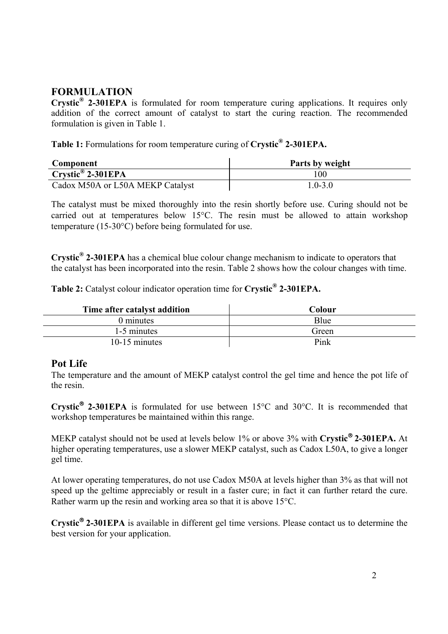# **FORMULATION**

**Crystic® 2-301EPA** is formulated for room temperature curing applications. It requires only addition of the correct amount of catalyst to start the curing reaction. The recommended formulation is given in Table 1.

**Table 1:** Formulations for room temperature curing of **Crystic® 2-301EPA.** 

| Component                        | Parts by weight |  |  |
|----------------------------------|-----------------|--|--|
| $Crystic^{\circledR}$ 2-301EPA   | 100             |  |  |
| Cadox M50A or L50A MEKP Catalyst | $1.0 - 3.0$     |  |  |

The catalyst must be mixed thoroughly into the resin shortly before use. Curing should not be carried out at temperatures below 15°C. The resin must be allowed to attain workshop temperature (15-30°C) before being formulated for use.

**Crystic® 2-301EPA** has a chemical blue colour change mechanism to indicate to operators that the catalyst has been incorporated into the resin. Table 2 shows how the colour changes with time.

**Table 2:** Catalyst colour indicator operation time for **Crystic® 2-301EPA.** 

| Time after catalyst addition | Colour |
|------------------------------|--------|
| 0 minutes                    | Blue   |
| 1-5 minutes                  | Green  |
| $10-15$ minutes              | Pink   |

#### **Pot Life**

The temperature and the amount of MEKP catalyst control the gel time and hence the pot life of the resin.

**Crystic 2-301EPA** is formulated for use between 15°C and 30°C. It is recommended that workshop temperatures be maintained within this range.

MEKP catalyst should not be used at levels below 1% or above 3% with **Crystic<sup>®</sup> 2-301EPA.** At higher operating temperatures, use a slower MEKP catalyst, such as Cadox L50A, to give a longer gel time.

At lower operating temperatures, do not use Cadox M50A at levels higher than 3% as that will not speed up the geltime appreciably or result in a faster cure; in fact it can further retard the cure. Rather warm up the resin and working area so that it is above 15°C.

**Crystic 2-301EPA** is available in different gel time versions. Please contact us to determine the best version for your application.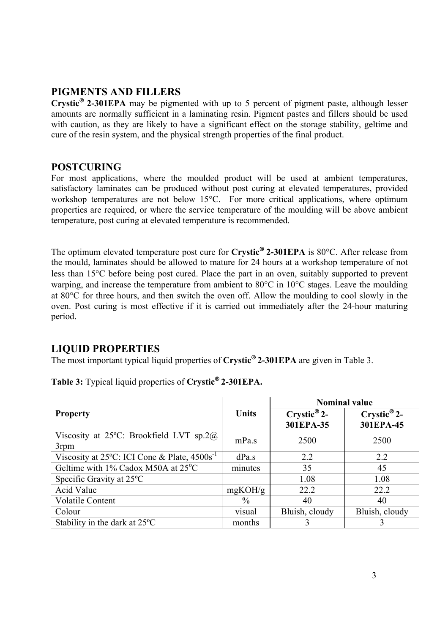# **PIGMENTS AND FILLERS**

**Crystic<sup>®</sup> 2-301EPA** may be pigmented with up to 5 percent of pigment paste, although lesser amounts are normally sufficient in a laminating resin. Pigment pastes and fillers should be used with caution, as they are likely to have a significant effect on the storage stability, geltime and cure of the resin system, and the physical strength properties of the final product.

# **POSTCURING**

For most applications, where the moulded product will be used at ambient temperatures, satisfactory laminates can be produced without post curing at elevated temperatures, provided workshop temperatures are not below 15°C. For more critical applications, where optimum properties are required, or where the service temperature of the moulding will be above ambient temperature, post curing at elevated temperature is recommended.

The optimum elevated temperature post cure for Crystic® 2-301EPA is 80°C. After release from the mould, laminates should be allowed to mature for 24 hours at a workshop temperature of not less than 15°C before being post cured. Place the part in an oven, suitably supported to prevent warping, and increase the temperature from ambient to 80 °C in 10 °C stages. Leave the moulding at 80°C for three hours, and then switch the oven off. Allow the moulding to cool slowly in the oven. Post curing is most effective if it is carried out immediately after the 24-hour maturing period.

# **LIQUID PROPERTIES**

The most important typical liquid properties of **Crystic 2-301EPA** are given in Table 3.

|                                                                     |               | <b>Nominal value</b>                    |                             |
|---------------------------------------------------------------------|---------------|-----------------------------------------|-----------------------------|
| <b>Property</b>                                                     | Units         | $C$ rystic <sup>®</sup> 2-<br>301EPA-35 | $C$ rystic® 2-<br>301EPA-45 |
| Viscosity at 25 $^{\circ}$ C: Brookfield LVT sp.2 $\omega$<br>3rpm  | mPa.s         | 2500                                    | 2500                        |
| Viscosity at 25 $^{\circ}$ C: ICI Cone & Plate, 4500s <sup>-1</sup> | dPa.s         | 2.2                                     | 2.2                         |
| Geltime with 1% Cadox M50A at 25°C                                  | minutes       | 35                                      | 45                          |
| Specific Gravity at 25 <sup>o</sup> C                               |               | 1.08                                    | 1.08                        |
| Acid Value                                                          | mgKOH/g       | 22.2                                    | 22.2                        |
| <b>Volatile Content</b>                                             | $\frac{0}{0}$ | 40                                      | 40                          |
| Colour                                                              | visual        | Bluish, cloudy                          | Bluish, cloudy              |
| Stability in the dark at $25^{\circ}$ C                             | months        |                                         |                             |

**Table 3:** Typical liquid properties of **Crystic 2-301EPA.**